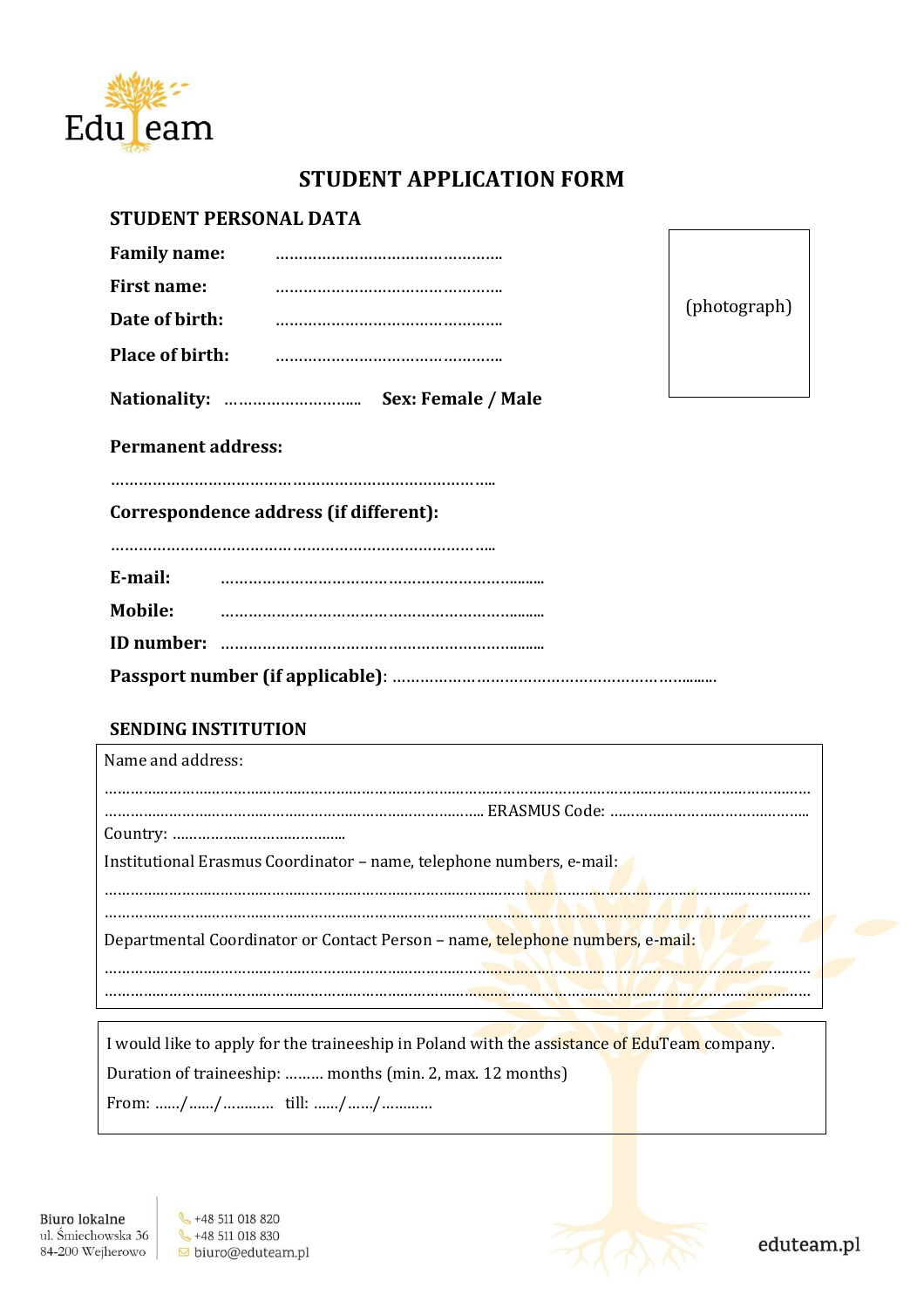

# **STUDENT APPLICATION FORM**

## **STUDENT PERSONAL DATA**

|                        | Sex: Female / Male |
|------------------------|--------------------|
| <b>Place of birth:</b> |                    |
| Date of birth:         |                    |
| <b>First name:</b>     |                    |
| <b>Family name:</b>    |                    |

(photograph)

**Permanent address:**

………………………………………………………………………..

**Correspondence address (if different):**

………………………………………………………………………..

| E-mail: |  |
|---------|--|
| Mobile: |  |
|         |  |
|         |  |

### **SENDING INSTITUTION**

| Name and address:                                                             |
|-------------------------------------------------------------------------------|
|                                                                               |
|                                                                               |
|                                                                               |
| Institutional Erasmus Coordinator - name, telephone numbers, e-mail:          |
|                                                                               |
| Departmental Coordinator or Contact Person – name, telephone numbers, e-mail: |
|                                                                               |
|                                                                               |

I would like to apply for the traineeship in Poland with the assistance of EduTeam company. Duration of traineeship: ……… months (min. 2, max. 12 months) From: ……/……/………… till: ……/……/…………

♦ +48 511 018 820  $\leftarrow +48511018830$ biuro@eduteam.pl



eduteam.pl